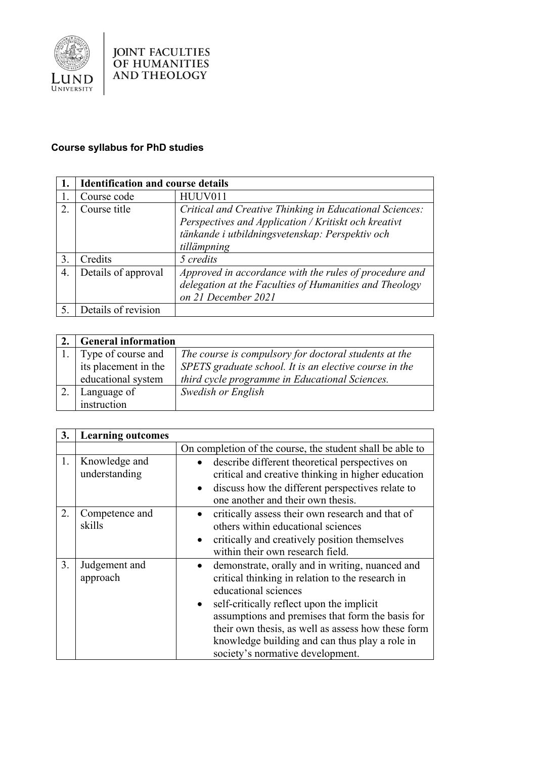

## **Course syllabus for PhD studies**

|                | <b>Identification and course details</b> |                                                         |
|----------------|------------------------------------------|---------------------------------------------------------|
|                | Course code                              | HUUV011                                                 |
| $2_{\cdot}$    | Course title                             | Critical and Creative Thinking in Educational Sciences: |
|                |                                          | Perspectives and Application / Kritiskt och kreativt    |
|                |                                          | tänkande i utbildningsvetenskap: Perspektiv och         |
|                |                                          | tillämpning                                             |
| 3.             | Credits                                  | 5 credits                                               |
| $\overline{4}$ | Details of approval                      | Approved in accordance with the rules of procedure and  |
|                |                                          | delegation at the Faculties of Humanities and Theology  |
|                |                                          | on 21 December 2021                                     |
|                | Details of revision                      |                                                         |

| <b>General information</b> |                                                        |
|----------------------------|--------------------------------------------------------|
| Type of course and         | The course is compulsory for doctoral students at the  |
| its placement in the       | SPETS graduate school. It is an elective course in the |
| educational system         | third cycle programme in Educational Sciences.         |
| Language of                | Swedish or English                                     |
| instruction                |                                                        |

| 3. | <b>Learning outcomes</b>       |                                                                                                                                                                                                                                                                                                                                                                                                    |
|----|--------------------------------|----------------------------------------------------------------------------------------------------------------------------------------------------------------------------------------------------------------------------------------------------------------------------------------------------------------------------------------------------------------------------------------------------|
|    |                                | On completion of the course, the student shall be able to                                                                                                                                                                                                                                                                                                                                          |
| 1. | Knowledge and<br>understanding | describe different theoretical perspectives on<br>critical and creative thinking in higher education<br>discuss how the different perspectives relate to<br>$\bullet$<br>one another and their own thesis.                                                                                                                                                                                         |
| 2. | Competence and<br>skills       | critically assess their own research and that of<br>others within educational sciences<br>critically and creatively position themselves<br>$\bullet$<br>within their own research field.                                                                                                                                                                                                           |
| 3. | Judgement and<br>approach      | demonstrate, orally and in writing, nuanced and<br>$\bullet$<br>critical thinking in relation to the research in<br>educational sciences<br>self-critically reflect upon the implicit<br>$\bullet$<br>assumptions and premises that form the basis for<br>their own thesis, as well as assess how these form<br>knowledge building and can thus play a role in<br>society's normative development. |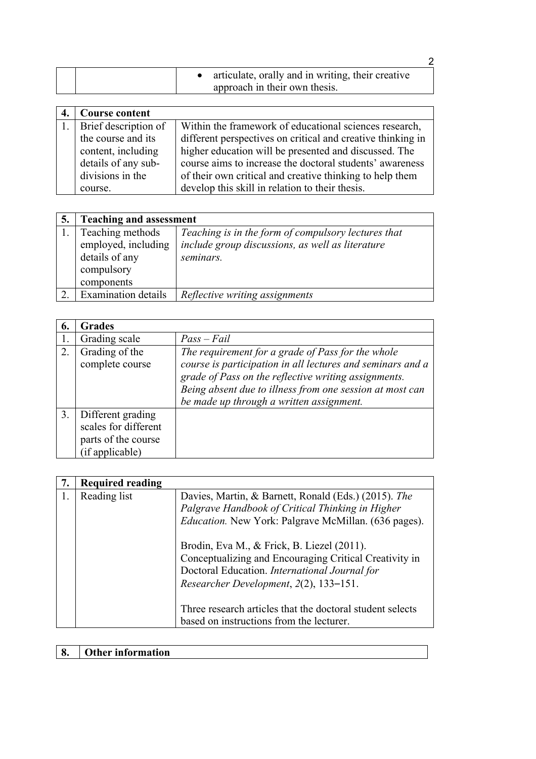|  | articulate, orally and in writing, their creative<br>approach in their own thesis. |  |
|--|------------------------------------------------------------------------------------|--|

| Course content          |                                                             |
|-------------------------|-------------------------------------------------------------|
| 1. Brief description of | Within the framework of educational sciences research,      |
| the course and its      | different perspectives on critical and creative thinking in |
| content, including      | higher education will be presented and discussed. The       |
| details of any sub-     | course aims to increase the doctoral students' awareness    |
| divisions in the        | of their own critical and creative thinking to help them    |
| course.                 | develop this skill in relation to their thesis.             |

| 5. | <b>Teaching and assessment</b> |                                                     |
|----|--------------------------------|-----------------------------------------------------|
|    | Teaching methods               | Teaching is in the form of compulsory lectures that |
|    | employed, including            | include group discussions, as well as literature    |
|    | details of any                 | seminars.                                           |
|    | compulsory                     |                                                     |
|    | components                     |                                                     |
|    | <b>Examination details</b>     | Reflective writing assignments                      |

| 6. | <b>Grades</b>                                                                       |                                                                                                                                                                                                                                                                                 |
|----|-------------------------------------------------------------------------------------|---------------------------------------------------------------------------------------------------------------------------------------------------------------------------------------------------------------------------------------------------------------------------------|
|    | Grading scale                                                                       | $Pass-Fail$                                                                                                                                                                                                                                                                     |
| 2. | Grading of the<br>complete course                                                   | The requirement for a grade of Pass for the whole<br>course is participation in all lectures and seminars and a<br>grade of Pass on the reflective writing assignments.<br>Being absent due to illness from one session at most can<br>be made up through a written assignment. |
| 3. | Different grading<br>scales for different<br>parts of the course<br>(if applicable) |                                                                                                                                                                                                                                                                                 |

| <b>Required reading</b> |                                                              |
|-------------------------|--------------------------------------------------------------|
| Reading list            | Davies, Martin, & Barnett, Ronald (Eds.) (2015). The         |
|                         | Palgrave Handbook of Critical Thinking in Higher             |
|                         | <i>Education</i> . New York: Palgrave McMillan. (636 pages). |
|                         | Brodin, Eva M., & Frick, B. Liezel (2011).                   |
|                         | Conceptualizing and Encouraging Critical Creativity in       |
|                         | Doctoral Education. International Journal for                |
|                         | Researcher Development, 2(2), 133-151.                       |
|                         | Three research articles that the doctoral student selects    |
|                         | based on instructions from the lecturer.                     |

## **8. Other information**